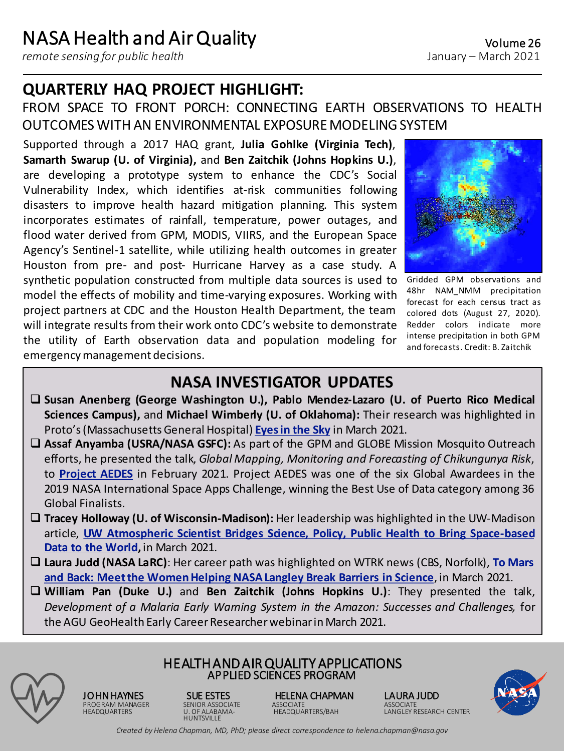*remote sensing for public health*

emergencymanagement decisions.

# **QUARTERLY HAQ PROJECT HIGHLIGHT:**

### FROM SPACE TO FRONT PORCH: CONNECTING EARTH OBSERVATIONS TO HEALTH OUTCOMES WITH AN ENVIRONMENTAL EXPOSUREMODELINGSYSTEM

Supported through a 2017 HAQ grant, **Julia Gohlke (Virginia Tech)**, **Samarth Swarup (U. of Virginia),** and **Ben Zaitchik (Johns Hopkins U.)**, are developing a prototype system to enhance the CDC's Social Vulnerability Index, which identifies at-risk communities following disasters to improve health hazard mitigation planning. This system incorporates estimates of rainfall, temperature, power outages, and flood water derived from GPM, MODIS, VIIRS, and the European Space Agency's Sentinel-1 satellite, while utilizing health outcomes in greater Houston from pre- and post- Hurricane Harvey as a case study. A synthetic population constructed from multiple data sources is used to model the effects of mobility and time-varying exposures. Working with project partners at CDC and the Houston Health Department, the team

will integrate results from their work onto CDC's website to demonstrate the utility of Earth observation data and population modeling for

Gridded GPM observations and 48hr NAM NMM precipitation forecast for each census tract as colored dots (August 27, 2020). Redder colors indicate more intense precipitation in both GPM and forecasts. Credit: B. Zaitchik

## **NASA INVESTIGATOR UPDATES**

- ❑ **Susan Anenberg (George Washington U.), Pablo Mendez-Lazaro (U. of Puerto Rico Medical Sciences Campus),** and **Michael Wimberly (U. of Oklahoma):** Their research was highlighted in Proto's(Massachusetts General Hospital) **[Eyesin](http://protomag.com/articles/eyes-sky) the Sky** in March 2021.
- ❑ **Assaf Anyamba (USRA/NASA GSFC):** As part of the GPM and GLOBE Mission Mosquito Outreach efforts, he presented the talk, *Global Mapping, Monitoring and Forecasting of Chikungunya Risk*, to **[Project](https://aedesproject.org/) AEDES** in February 2021. Project AEDES was one of the six Global Awardees in the 2019 NASA International Space Apps Challenge, winning the Best Use of Data category among 36 Global Finalists.
- ❑ **Tracey Holloway (U. of Wisconsin-Madison):** Her leadership was highlighted in the UW-Madison article, **UW [Atmospheric](https://news.wisc.edu/uw-atmospheric-scientist-bridges-science-policy-public-health-to-bring-space-based-data-to-the-world/) Scientist Bridges Science, Policy, Public Health to Bring Space-based Data to the World,** in March 2021.
- ❑ **Laura Judd (NASA LaRC)**: Her career path was highlighted on WTRK news (CBS, Norfolk), **To Mars and Back: Meetthe [WomenHelping](https://www.wtkr.com/news/to-mars-and-back-meet-the-women-helping-nasa-langley-break-barriers-in-science?fbclid=IwAR0m372VRHmLgpLwDX1THBOotUtArxKM3RmbYIdtCQaI-ZmaNugFBuVbkoY) NASALangley Break Barriers in Science**, in March 2021.
- ❑ **William Pan (Duke U.)** and **Ben Zaitchik (Johns Hopkins U.)**: They presented the talk, *Development of a Malaria Early Warning System in the Amazon: Successes and Challenges,* for the AGU GeoHealth Early Career Researcher webinar in March 2021.



HEALTH AND AIR QUALITY APPLICATIONS APPLIED SCIENCES PROGRAM

**HUNTSVILLE** 

**JO HN HAYNES SUE ESTES HELENA CHAPMAN LAURA JUDD<br>PROGRAM MANAGER SENIOR ASSOCIATE ASSOCIATE ASSOCIATE ASSOCIATE** PROGRAM MANAGER SENIOR ASSOCIATE ASSOCIATE ASSOCIATE



*Created by Helena Chapman, MD, PhD; please direct correspondence to helena.chapman@nasa.gov*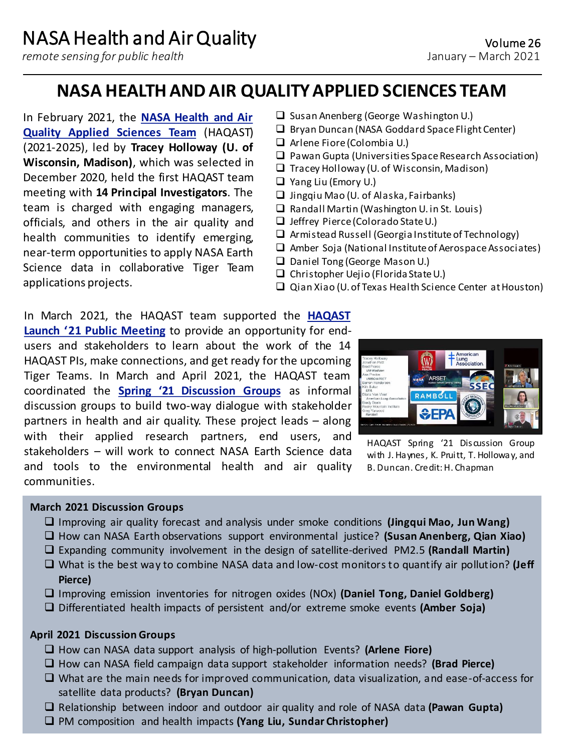*remote sensing for public health*

# **NASA HEALTH AND AIR QUALITY APPLIED SCIENCES TEAM**

In February 2021, the **NASA Health and Air Quality Applied Sciences Team** [\(HAQAST\)](https://haqast.org/) (2021-2025), led by **Tracey Holloway (U. of Wisconsin, Madison)**, which was selected in December 2020, held the first HAQAST team meeting with **14 Principal Investigators**. The team is charged with engaging managers, officials, and others in the air quality and health communities to identify emerging, near-term opportunities to apply NASA Earth Science data in collaborative Tiger Team applications projects.

- ❑ Susan Anenberg (George Washington U.)
- ❑ Bryan Duncan (NASA Goddard SpaceFlight Center)
- ❑ Arlene Fiore(Colombia U.)
- ❑ Pawan Gupta (Universities SpaceResearch Association)
- ❑ Tracey Holloway (U.of Wisconsin, Madison)
- ❑ Yang Liu (Emory U.)
- ❑ Jingqiu Mao (U. of Alaska, Fairbanks)
- ❑ Randall Martin (Washington U. in St. Louis)
- ❑ Jeffrey Pierce(Colorado StateU.)
- ❑ Armistead Russell (Georgia Instituteof Technology)
- □ Amber Soja (National Institute of Aerospace Associates)
- ❑ Daniel Tong (George Mason U.)
- ❑ Christopher Uejio (Florida StateU.)
- ❑ Qian Xiao (U. of Texas Health Science Center atHouston)

In March 2021, the HAQAST team supported the **HAQAST Launch '21 Public Meeting** to provide an [opportunity](https://haqast.org/haqastlaunch21/) for endusers and stakeholders to learn about the work of the 14 HAQAST PIs, make connections, and get ready for the upcoming Tiger Teams. In March and April 2021, the HAQAST team coordinated the **Spring '21 [Discussion](https://haqast.org/haqast-3-discussion-group-meetings/) Groups** as informal discussion groups to build two-way dialogue with stakeholder partners in health and air quality. These project leads – along with their applied research partners, end users, and stakeholders – will work to connect NASA Earth Science data and tools to the environmental health and air quality communities.



HAQAST Spring '21 Discussion Group with J. Haynes, K. Pruitt, T. Holloway, and B. Duncan. Credit: H. Chapman

#### **March 2021 Discussion Groups**

- ❑ Improving air quality forecast and analysis under smoke conditions **(Jingqui Mao, Jun Wang)**
- ❑ How can NASA Earth observations support environmental justice? **(Susan Anenberg, Qian Xiao)**
- ❑ Expanding community involvement in the design of satellite-derived PM2.5 **(Randall Martin)**
- ❑ What is the best way to combine NASA data and low-cost monitorsto quantify air pollution? **(Jeff Pierce)**
- ❑ Improving emission inventories for nitrogen oxides (NOx) **(Daniel Tong, Daniel Goldberg)**
- ❑ Differentiated health impacts of persistent and/or extreme smoke events **(Amber Soja)**

#### **April 2021 Discussion Groups**

- ❑ How can NASA data support analysis of high-pollution Events? **(Arlene Fiore)**
- ❑ How can NASA field campaign data support stakeholder information needs? **(Brad Pierce)**
- ❑ What are the main needs for improved communication, data visualization, and ease-of-access for satellite data products? **(Bryan Duncan)**
- ❑ Relationship between indoor and outdoor air quality and role of NASA data **(Pawan Gupta)**
- ❑ PM composition and health impacts **(Yang Liu, Sundar Christopher)**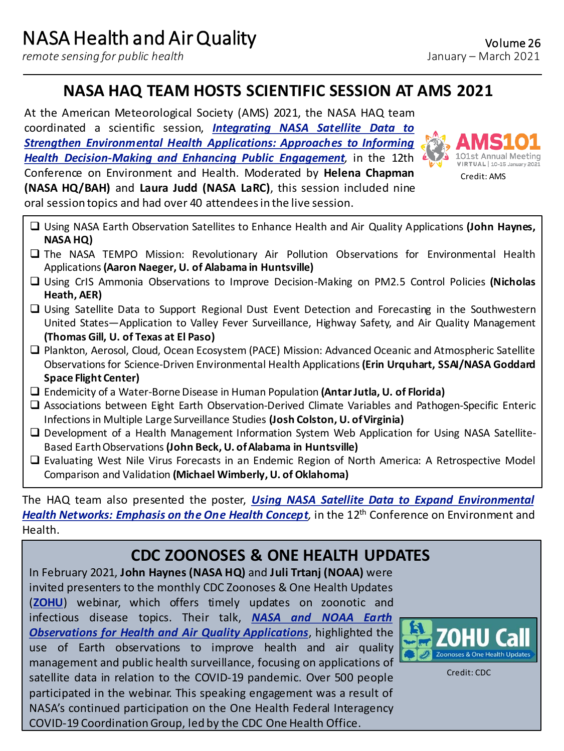*remote sensing for public health*

# **NASA HAQ TEAM HOSTS SCIENTIFIC SESSION AT AMS 2021**

At the American Meteorological Society (AMS) 2021, the NASA HAQ team coordinated a scientific session, *Integrating NASA Satellite Data to Strengthen Environmental Health Applications: Approaches to Informing Health [Decision-Making](https://ams.confex.com/ams/101ANNUAL/meetingapp.cgi/Session/56144) and Enhancing Public Engagement,* in the 12th Conference on Environment and Health. Moderated by **Helena Chapman (NASA HQ/BAH)** and **Laura Judd (NASA LaRC)**, this session included nine oral session topics and had over 40 attendeesin the live session.



❑ Using NASA Earth Observation Satellites to Enhance Health and Air Quality Applications **(John Haynes, NASA HQ)**

- ❑ The NASA TEMPO Mission: Revolutionary Air Pollution Observations for Environmental Health Applications**(Aaron Naeger, U. of Alabama in Huntsville)**
- ❑ Using CrIS Ammonia Observations to Improve Decision-Making on PM2.5 Control Policies **(Nicholas Heath, AER)**
- ❑ Using Satellite Data to Support Regional Dust Event Detection and Forecasting in the Southwestern United States—Application to Valley Fever Surveillance, Highway Safety, and Air Quality Management **(Thomas Gill, U. of Texas at El Paso)**
- ❑ Plankton, Aerosol, Cloud, Ocean Ecosystem (PACE) Mission: Advanced Oceanic and Atmospheric Satellite Observationsfor Science-Driven Environmental Health Applications**(Erin Urquhart, SSAI/NASA Goddard Space Flight Center)**
- ❑ Endemicity of a Water-BorneDisease in Human Population **(AntarJutla, U. of Florida)**
- ❑ Associations between Eight Earth Observation-Derived Climate Variables and Pathogen-Specific Enteric Infectionsin Multiple Large Surveillance Studies **(Josh Colston, U. ofVirginia)**
- ❑ Development of a Health Management Information System Web Application for Using NASA Satellite-Based EarthObservations**(John Beck, U. ofAlabama in Huntsville)**
- ❑ Evaluating West Nile Virus Forecasts in an Endemic Region of North America: A Retrospective Model Comparison and Validation **(Michael Wimberly,U. of Oklahoma)**

The HAQ team also presented the poster, *Using NASA Satellite Data to Expand [Environmental](https://ams.confex.com/ams/101ANNUAL/meetingapp.cgi/Paper/379880) Health Networks: Emphasis on the One Health Concept,* in the 12th Conference on Environment and Health.

# **CDC ZOONOSES & ONE HEALTH UPDATES**

In February 2021, **John Haynes(NASA HQ)** and **Juli Trtanj (NOAA)** were invited presenters to the monthly CDC Zoonoses & One Health Updates (**[ZOHU](https://www.cdc.gov/onehealth/zohu/index.html)**) webinar, which offers timely updates on zoonotic and infectious disease topics. Their talk, *NASA and NOAA Earth [Observations](https://www.cdc.gov/onehealth/zohu/2021/february.html) for Health and Air Quality Applications*, highlighted the use of Earth observations to improve health and air quality management and public health surveillance, focusing on applications of satellite data in relation to the COVID-19 pandemic. Over 500 people participated in the webinar. This speaking engagement was a result of NASA's continued participation on the One Health Federal Interagency COVID-19 Coordination Group, led by the CDC One Health Office.



Credit: CDC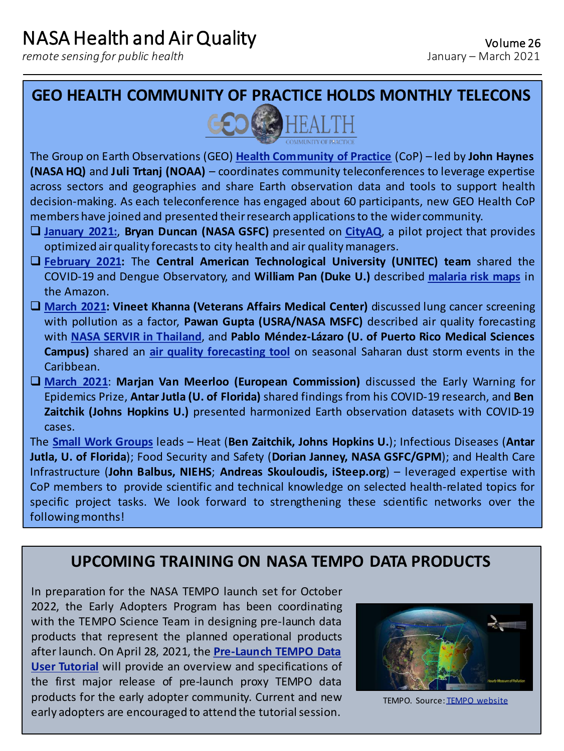*remote sensing for public health*

**GEO HEALTH COMMUNITY OF PRACTICE HOLDS MONTHLY TELECONS**



The Group on Earth Observations (GEO) **Health [Community](http://www.geohealthcop.org/) of Practice** (CoP) – led by **John Haynes (NASA HQ)** and **Juli Trtanj (NOAA)** – coordinates community teleconferences to leverage expertise across sectors and geographies and share Earth observation data and tools to support health decision-making. As each teleconference has engaged about 60 participants, new GEO Health CoP members have joined and presented theirresearch applicationsto the wider community.

- ❑ **[January](http://www.geohealthcop.org/workshops/2021/1/26/telecon-jan2021) 2021:**, **Bryan Duncan (NASA GSFC)** presented on **[CityAQ](https://airquality.gsfc.nasa.gov/cityaq-pilot-combine-local-monitoring-data-geos-cf-model-outputs-develop-city-scale-operational)**, a pilot project that provides optimized airquality forecaststo city health and air qualitymanagers.
- ❑ **[February](http://www.geohealthcop.org/workshops/2021/2/16/telecon-feb2021) 2021:** The **Central American Technological University (UNITEC) team** shared the COVID-19 and Dengue Observatory, and **William Pan (Duke U.)** described **[malaria](https://www.nasa.gov/feature/goddard/2017/using-nasa-satellite-data-to-predict-malaria-outbreaks) risk maps** in the Amazon.
- ❑ **[March](http://www.geohealthcop.org/workshops/2021/3/2/telecon-mar2021) 2021: Vineet Khanna (Veterans Affairs Medical Center)** discussed lung cancer screening with pollution as a factor, **Pawan Gupta (USRA/NASA MSFC)** described air quality forecasting with **NASA SERVIR in [Thailand](https://www.nasa.gov/mission_pages/servir/thailand-brings-nasa-air-quality-data-down-to-earth.html)**, and **Pablo Méndez-Lázaro (U. of Puerto Rico Medical Sciences Campus)** shared an **air quality [forecasting](https://www.nasa.gov/feature/nasa-helps-puerto-rico-prepare-for-saharan-dust-impacts/) tool** on seasonal Saharan dust storm events in the Caribbean.
- ❑ **[March](http://www.geohealthcop.org/workshops/2021/3/30/telecon-mar2021) 2021**: **Marjan Van Meerloo (European Commission)** discussed the Early Warning for Epidemics Prize, **Antar Jutla (U. of Florida)** shared findings from his COVID-19 research, and **Ben Zaitchik (Johns Hopkins U.)** presented harmonized Earth observation datasets with COVID-19 cases.

The **Small Work [Groups](http://www.geohealthcop.org/small-work-groups)** leads – Heat (**Ben Zaitchik, Johns Hopkins U.**); Infectious Diseases (**Antar Jutla, U. of Florida**); Food Security and Safety (**Dorian Janney, NASA GSFC/GPM**); and Health Care Infrastructure (**John Balbus, NIEHS**; **Andreas Skouloudis, iSteep.org**) – leveraged expertise with CoP members to provide scientific and technical knowledge on selected health-related topics for specific project tasks. We look forward to strengthening these scientific networks over the following months!

## **UPCOMING TRAINING ON NASA TEMPO DATA PRODUCTS**

In preparation for the NASA TEMPO launch set for October 2022, the Early Adopters Program has been coordinating with the TEMPO Science Team in designing pre-launch data products that represent the planned operational products after launch. On April 28, 2021, the **Pre-Launch TEMPO Data User Tutorial** will provide an overview and [specifications](https://weather.msfc.nasa.gov/tempo/tempo-data-user-tutorial.html) of the first major release of pre-launch proxy TEMPO data products for the early adopter community. Current and new early adopters are encouraged to attend the tutorial session.



TEMPO. Source: [TEMPO website](http://tempo.si.edu/overview.html)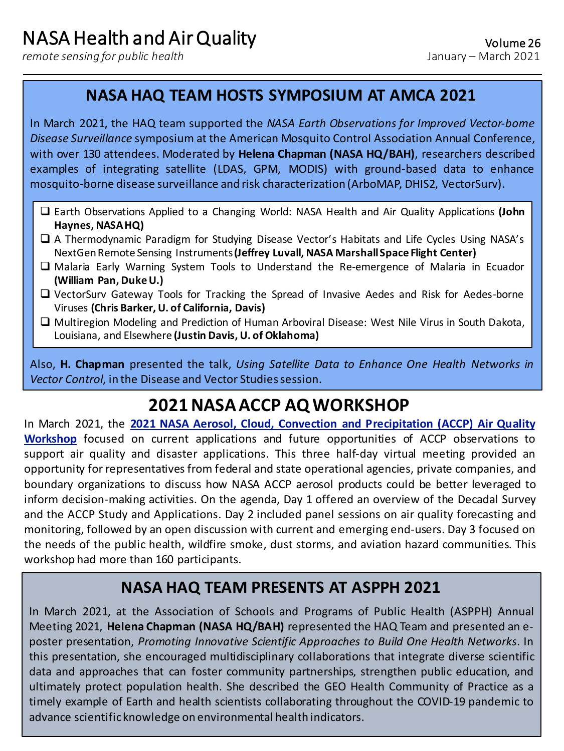*remote sensing for public health*

## **NASA HAQ TEAM HOSTS SYMPOSIUM AT AMCA 2021**

In March 2021, the HAQ team supported the *NASA Earth Observations for Improved Vector-borne Disease Surveillance* symposium at the American Mosquito Control Association Annual Conference, with over 130 attendees. Moderated by **Helena Chapman (NASA HQ/BAH)**, researchers described examples of integrating satellite (LDAS, GPM, MODIS) with ground-based data to enhance mosquito-borne disease surveillance and risk characterization(ArboMAP, DHIS2, VectorSurv).

- ❑ Earth Observations Applied to a Changing World: NASA Health and Air Quality Applications **(John Haynes, NASAHQ)**
- ❑ A Thermodynamic Paradigm for Studying Disease Vector's Habitats and Life Cycles Using NASA's NextGenRemote Sensing Instruments**(Jeffrey Luvall, NASA MarshallSpace Flight Center)**
- ❑ Malaria Early Warning System Tools to Understand the Re-emergence of Malaria in Ecuador **(William Pan, DukeU.)**
- ❑ VectorSurv Gateway Tools for Tracking the Spread of Invasive Aedes and Risk for Aedes-borne Viruses **(Chris Barker, U. of California, Davis)**
- ❑ Multiregion Modeling and Prediction of Human Arboviral Disease: West Nile Virus in South Dakota, Louisiana, and Elsewhere **(Justin Davis, U. of Oklahoma)**

Also, **H. Chapman** presented the talk, *Using Satellite Data to Enhance One Health Networks in* Vector Control, in the Disease and Vector Studies session.

# **2021 NASA ACCP AQ WORKSHOP**

In March 2021, the **2021 NASA Aerosol, Cloud, Convection and Precipitation (ACCP) Air Quality Workshop** focused on current applications and future [opportunities](https://vac.gsfc.nasa.gov/accp/events-more.htm?id=75) of ACCP observations to support air quality and disaster applications. This three half-day virtual meeting provided an opportunity for representatives from federal and state operational agencies, private companies, and boundary organizations to discuss how NASA ACCP aerosol products could be better leveraged to inform decision-making activities. On the agenda, Day 1 offered an overview of the Decadal Survey and the ACCP Study and Applications. Day 2 included panel sessions on air quality forecasting and monitoring, followed by an open discussion with current and emerging end-users. Day 3 focused on the needs of the public health, wildfire smoke, dust storms, and aviation hazard communities. This workshop had more than 160 participants.

# **NASA HAQ TEAM PRESENTS AT ASPPH 2021**

In March 2021, at the Association of Schools and Programs of Public Health (ASPPH) Annual Meeting 2021, **Helena Chapman (NASA HQ/BAH)** represented the HAQ Team and presented an eposter presentation, *Promoting Innovative Scientific Approaches to Build One Health Networks*. In this presentation, she encouraged multidisciplinary collaborations that integrate diverse scientific data and approaches that can foster community partnerships, strengthen public education, and ultimately protect population health. She described the GEO Health Community of Practice as a timely example of Earth and health scientists collaborating throughout the COVID-19 pandemic to advance scientificknowledge on environmental health indicators.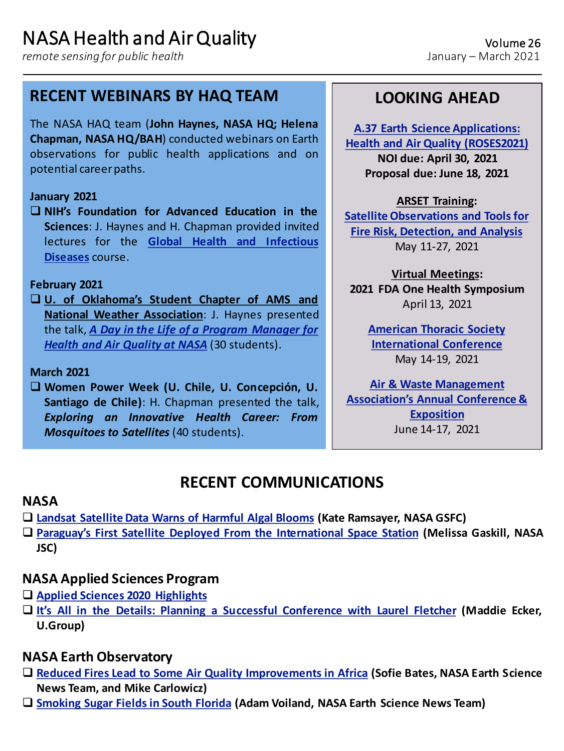*remote sensing for public health*

### **RECENT WEBINARS BY HAQ TEAM**

The NASA HAQ team (**John Haynes, NASA HQ; Helena Chapman, NASA HQ/BAH**) conducted webinars on Earth observations for public health applications and on potential careerpaths.

#### **January 2021**

❑ **NIH's Foundation for Advanced Education in the Sciences**: J. Haynes and H. Chapman provided invited lectures for the **Global Health and [Infectious](https://catalog.faes.org/public-health/pbhl-450) Diseases** course.

#### **February 2021**

❑ **U. of Oklahoma's Student Chapter of AMS and National Weather Association**: J. Haynes presented the talk, *A Day in the Life of a Program Manager for Health and Air Quality at NASA* (30 [students\).](https://scan.metr.ou.edu/index.php/2021/02/04/february-general-meeting/)

#### **March 2021**

❑ **Women Power Week (U. Chile, U. Concepción, U. Santiago de Chile)**: H. Chapman presented the talk, *Exploring an Innovative Health Career: From Mosquitoes to Satellites* (40 students).

## **LOOKING AHEAD**

**A.37 Earth Science Applications: [Health and Air Quality \(ROSES2021\)](https://nspires.nasaprs.com/external/solicitations/summary!init.do?solId=%7b78D66990-C241-F2F9-5A15-BC02AD87C40D%7d&path=open) NOI due: April 30, 2021 Proposal due: June 18, 2021**

**ARSET Training: [Satellite Observations and Tools for](https://appliedsciences.nasa.gov/join-mission/training/english/arset-satellite-observations-and-tools-fire-risk-detection-and)  Fire Risk, Detection, and Analysis** May 11-27, 2021

**Virtual Meetings: 2021 FDA One Health Symposium** April 13, 2021

**[American Thoracic Society](https://conference.thoracic.org/)  International Conference** May 14-19, 2021

**Air & Waste Management [Association's Annual Conference &](https://www.awma.org/ace2021)  Exposition** June 14-17, 2021

## **RECENT COMMUNICATIONS**

### **NASA**

- ❑ **Landsat [Satellite](https://www.nasa.gov/feature/goddard/2021/landsat-satellite-data-warns-of-harmful-algal-blooms) Data Warns of Harmful Algal Blooms (Kate Ramsayer, NASA GSFC)**
- ❑ **Paraguay's First Satellite Deployed From the [International](https://www.nasa.gov/mission_pages/station/research/news/birds-4-paraguays-first-satellite) Space Station (Melissa Gaskill, NASA JSC)**

### **NASA Applied Sciences Program**

- ❑ **Applied Sciences 2020 [Highlights](https://appliedsciences.nasa.gov/sites/default/files/2021-01/NASA_EndofYear_010620.pdf)**
- ❑ **It's All in the Details: Planning a Successful [Conference](https://appliedsciences.nasa.gov/our-impact/people/its-all-details-planning-successful-conference-laurel-fletcher) with Laurel Fletcher (Maddie Ecker, U.Group)**

### **NASA Earth Observatory**

- ❑ **Reduced Fires Lead to Some Air Quality [Improvements](https://earthobservatory.nasa.gov/images/147909/reduced-fires-lead-to-some-air-quality-improvements-in-africa) in Africa (Sofie Bates, NASA Earth Science News Team, and Mike Carlowicz)**
- ❑ **[Smoking](https://earthobservatory.nasa.gov/images/147881/smoking-sugar-fields-in-south-florida) Sugar Fields in South Florida (Adam Voiland, NASA Earth Science News Team)**